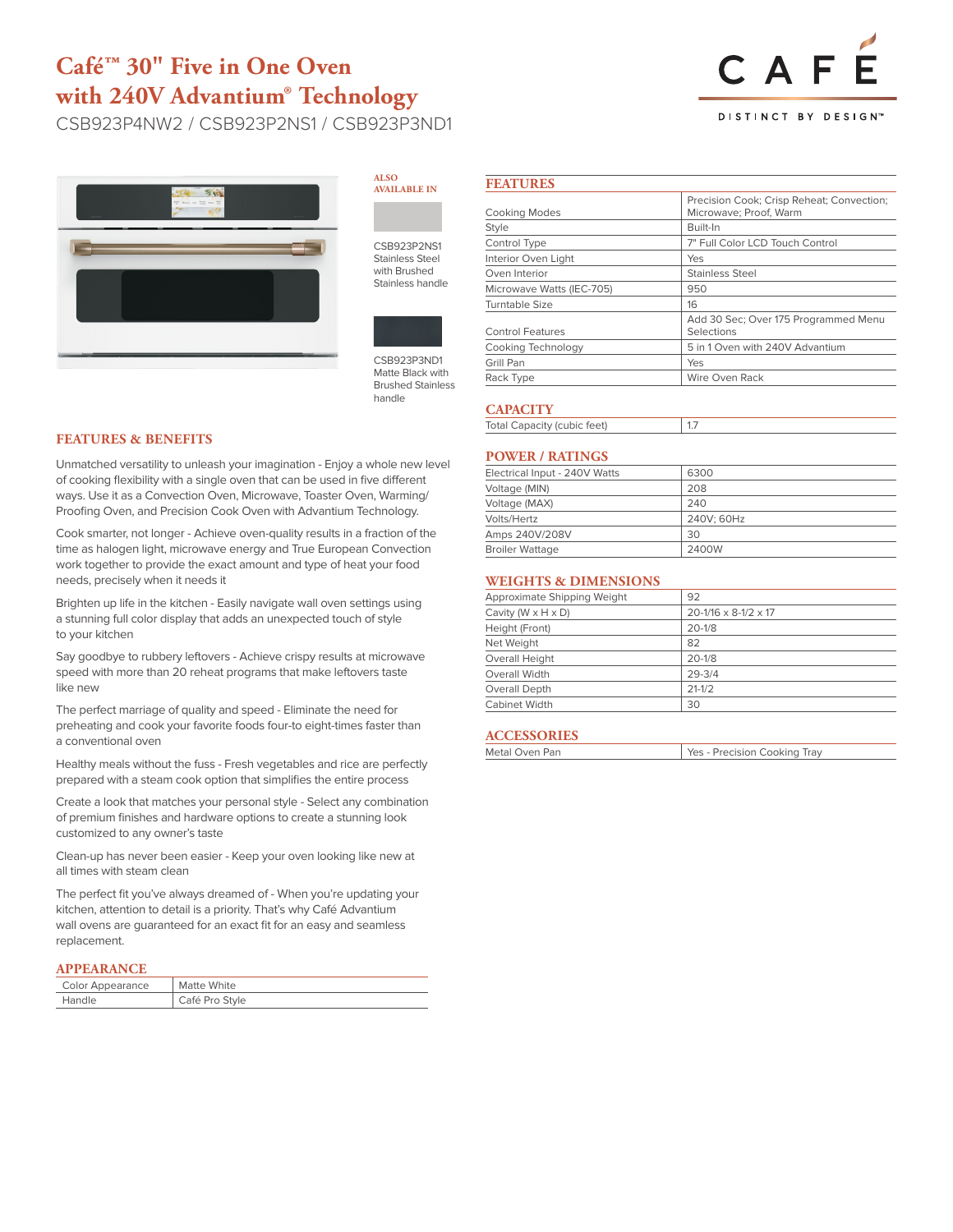# **Café™ 30" Five in One Oven with 240V Advantium® Technology**

CSB923P4NW2 / CSB923P2NS1 / CSB923P3ND1



#### **ALSO AVAILABLE IN**

CSB923P2NS1 Stainless Steel with Brushed Stainless handle



CSB923P3ND1 Matte Black with Brushed Stainless handle

### **FEATURES & BENEFITS**

Unmatched versatility to unleash your imagination - Enjoy a whole new level of cooking flexibility with a single oven that can be used in five different ways. Use it as a Convection Oven, Microwave, Toaster Oven, Warming/ Proofing Oven, and Precision Cook Oven with Advantium Technology.

Cook smarter, not longer - Achieve oven-quality results in a fraction of the time as halogen light, microwave energy and True European Convection work together to provide the exact amount and type of heat your food needs, precisely when it needs it

Brighten up life in the kitchen - Easily navigate wall oven settings using a stunning full color display that adds an unexpected touch of style to your kitchen

Say goodbye to rubbery leftovers - Achieve crispy results at microwave speed with more than 20 reheat programs that make leftovers taste like new

The perfect marriage of quality and speed - Eliminate the need for preheating and cook your favorite foods four-to eight-times faster than a conventional oven

Healthy meals without the fuss - Fresh vegetables and rice are perfectly prepared with a steam cook option that simplifies the entire process

Create a look that matches your personal style - Select any combination of premium finishes and hardware options to create a stunning look customized to any owner's taste

Clean-up has never been easier - Keep your oven looking like new at all times with steam clean

The perfect fit you've always dreamed of - When you're updating your kitchen, attention to detail is a priority. That's why Café Advantium wall ovens are guaranteed for an exact fit for an easy and seamless replacement.

### **APPEARANCE**

| Color Appearance | Matte White    |
|------------------|----------------|
| Handle           | Café Pro Style |

#### **FEATURES** Cooking Modes Precision Cook; Crisp Reheat; Convection; Microwave; Proof, Warm Style Built-In Control Type  $7"$  Full Color LCD Touch Control Interior Oven Light Yes Oven Interior **Stainless** Steel Microwave Watts (IEC-705) 950 Turntable Size 16 Add 30 Sec; Over 175 Programmed Menu

| Control Features   | Selections                      |
|--------------------|---------------------------------|
| Cooking Technology | 5 in 1 Oven with 240V Advantium |
| Grill Pan          | Yes                             |
| Rack Type          | Wire Oven Rack                  |

### **CAPACITY**

| <b>Total Capacity (cubic feet)</b> |  |
|------------------------------------|--|

### **POWER / RATINGS**

| Electrical Input - 240V Watts | 6300       |
|-------------------------------|------------|
| Voltage (MIN)                 | 208        |
| Voltage (MAX)                 | 240        |
| Volts/Hertz                   | 240V: 60Hz |
| Amps 240V/208V                | 30         |
| <b>Broiler Wattage</b>        | 2400W      |

## **WEIGHTS & DIMENSIONS**

| Approximate Shipping Weight      | 92                                   |
|----------------------------------|--------------------------------------|
| Cavity ( $W \times H \times D$ ) | $20 - 1/16 \times 8 - 1/2 \times 17$ |
| Height (Front)                   | $20 - 1/8$                           |
| Net Weight                       | 82                                   |
| Overall Height                   | $20 - 1/8$                           |
| Overall Width                    | $29 - 3/4$                           |
| Overall Depth                    | $21 - 1/2$                           |
| <b>Cabinet Width</b>             | 30                                   |

### **ACCESSORIES**

| Metal Oven Pan | Yes - Precision Cooking Tray |
|----------------|------------------------------|
|                |                              |



### **DISTINCT BY DESIGN™**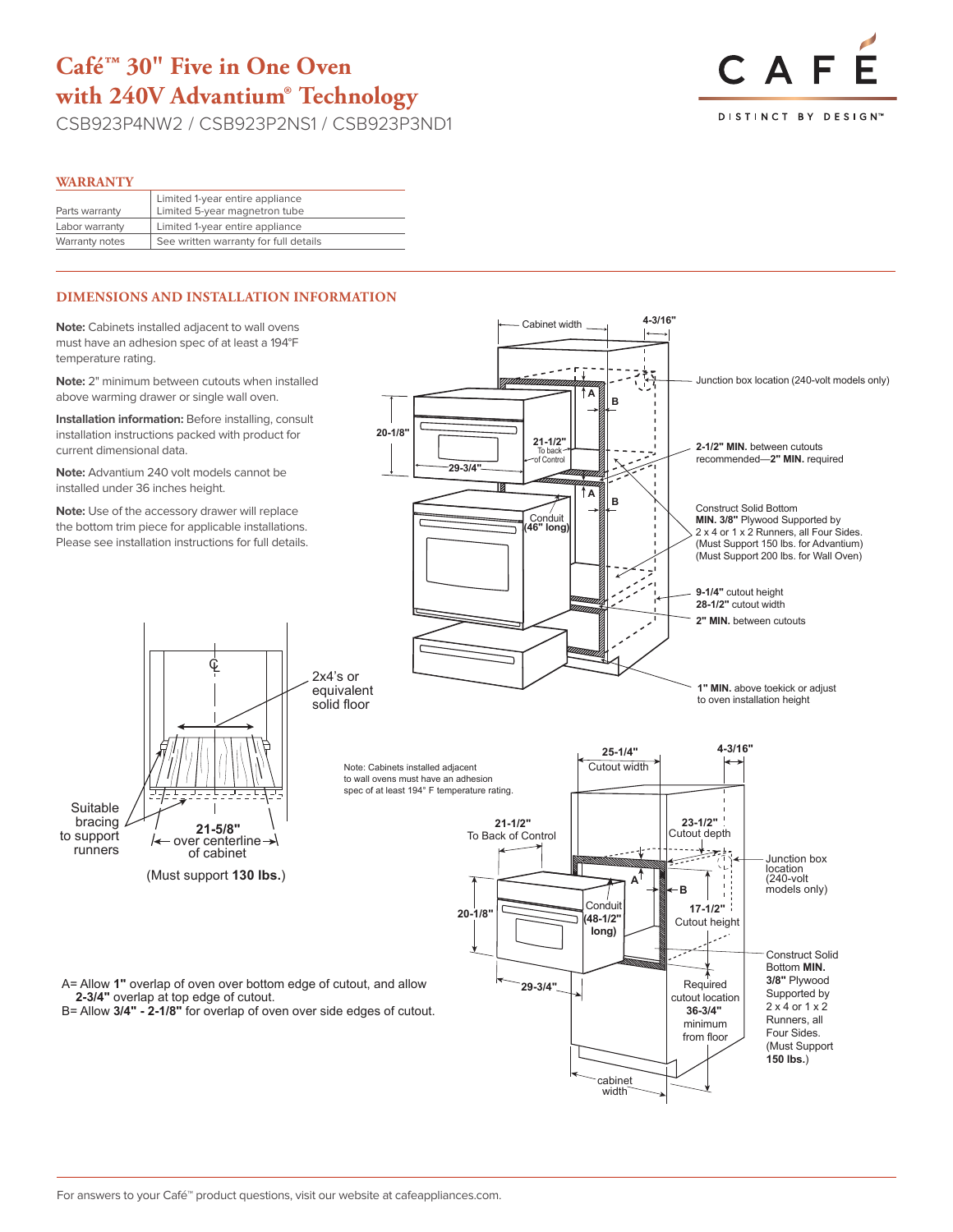# **Café™ 30" Five in One Oven with 240V Advantium® Technology**

CSB923P4NW2 / CSB923P2NS1 / CSB923P3ND1



### **WARRANTY**

Suitable bracing A to support runners

To Back of Control

**29-3/4"**

|                | Limited 1-year entire appliance       |
|----------------|---------------------------------------|
| Parts warranty | Limited 5-year magnetron tube         |
| Labor warranty | Limited 1-year entire appliance       |
| Warranty notes | See written warranty for full details |
|                |                                       |

# **DIMENSIONS AND INSTALLATION INFORMATION**

**Note:** Cabinets installed adjacent to wall ovens must have an adhesion spec of at least a 194°F temperature rating.

**Note:** 2" minimum between cutouts when installed above warming drawer or single wall oven.

**Installation information:** Before installing, consult **Installation information:** Before installing, consult installation instructions packed with product for current dimensional data.

**Note:** Advantium 240 volt models cannot be installed under 36 inches height.

**Note:** Use of the accessory drawer will replace the bottom trim piece for applicable installations. Please see installation instructions for full details.

CL

**A**

(Must support **130 lbs.**)

**21-5/8"** over centerline of cabinet

Conduit **(48-1/2" long)**



**MIN. 3/8"** Plywood Supported by

A= Allow 1" overlap of oven over bottom edge of cutout, and allow **2-3/4"** overlap at top edge of cutout.

B= Allow **3/4" - 2-1/8"** for overlap of oven over side edges of cutout.

recommended—**2" MIN.** required

Conduit